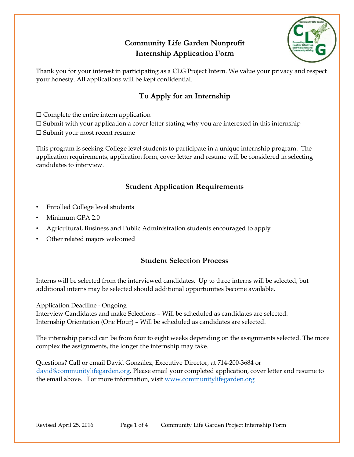# **Community Life Garden Nonprofit Internship Application Form**



Thank you for your interest in participating as a CLG Project Intern. We value your privacy and respect your honesty. All applications will be kept confidential.

# **To Apply for an Internship**

 $\square$  Complete the entire intern application

 $\square$  Submit with your application a cover letter stating why you are interested in this internship

⬜ Submit your most recent resume

This program is seeking College level students to participate in a unique internship program. The application requirements, application form, cover letter and resume will be considered in selecting candidates to interview.

## **Student Application Requirements**

- Enrolled College level students
- Minimum GPA 2.0
- Agricultural, Business and Public Administration students encouraged to apply
- Other related majors welcomed

### **Student Selection Process**

Interns will be selected from the interviewed candidates. Up to three interns will be selected, but additional interns may be selected should additional opportunities become available.

Application Deadline - Ongoing

Interview Candidates and make Selections – Will be scheduled as candidates are selected. Internship Orientation (One Hour) – Will be scheduled as candidates are selected.

The internship period can be from four to eight weeks depending on the assignments selected. The more complex the assignments, the longer the internship may take.

Questions? Call or email David González, Executive Director, at 714-200-3684 or [david@communitylifegarden.org.](mailto:david@communitylifegarden.org) Please email your completed application, cover letter and resume to the email above. For more information, visit [www.communitylifegarden.org](http://www.communitylifegarden.org/)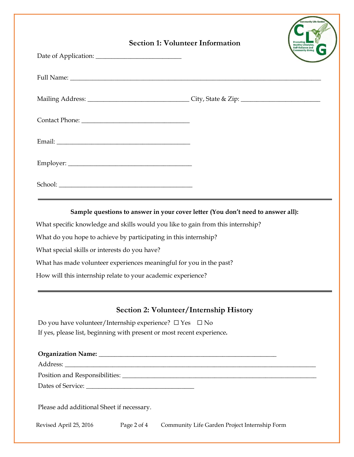| <b>Section 1: Volunteer Information</b> | Promoting<br>Healthy Lifestyles,<br>Self-Reliance and<br>Community Giving |
|-----------------------------------------|---------------------------------------------------------------------------|
|                                         |                                                                           |
|                                         |                                                                           |
|                                         |                                                                           |
|                                         |                                                                           |
|                                         |                                                                           |
|                                         |                                                                           |

**Sample questions to answer in your cover letter (You don't need to answer all):**

What specific knowledge and skills would you like to gain from this internship?

What do you hope to achieve by participating in this internship?

What special skills or interests do you have?

What has made volunteer experiences meaningful for you in the past?

How will this internship relate to your academic experience?

### **Section 2: Volunteer/Internship History**

Do you have volunteer/Internship experience?  $\Box$  Yes  $\Box$  No If yes, please list, beginning with present or most recent experience*.*

| Please add additional Sheet if necessary. |  |
|-------------------------------------------|--|

Revised April 25, 2016 Page 2 of 4 Community Life Garden Project Internship Form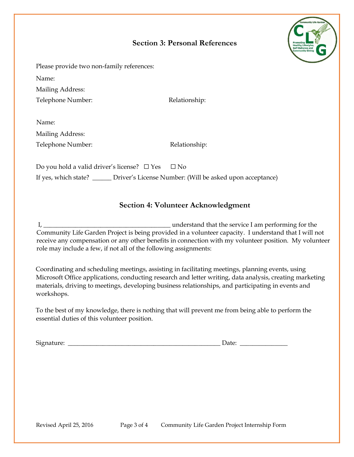### **Section 3: Personal References**



Please provide two non-family references:

Name:

Mailing Address:

Telephone Number: Relationship:

| Name:             |    |
|-------------------|----|
| Mailing Address:  |    |
| Telephone Number: | R٥ |

elationship:

Do you hold a valid driver's license?  $\Box$  Yes  $\Box$  No If yes, which state? \_\_\_\_\_\_ Driver's License Number: (Will be asked upon acceptance)

### **Section 4: Volunteer Acknowledgment**

I, \_\_\_\_\_\_\_\_\_\_\_\_\_\_\_\_\_\_\_\_\_\_\_\_\_\_\_\_\_\_\_\_\_\_\_\_\_\_\_\_ understand that the service I am performing for the Community Life Garden Project is being provided in a volunteer capacity. I understand that I will not receive any compensation or any other benefits in connection with my volunteer position. My volunteer role may include a few, if not all of the following assignments:

Coordinating and scheduling meetings, assisting in facilitating meetings, planning events, using Microsoft Office applications, conducting research and letter writing, data analysis, creating marketing materials, driving to meetings, developing business relationships, and participating in events and workshops.

To the best of my knowledge, there is nothing that will prevent me from being able to perform the essential duties of this volunteer position.

Signature: \_\_\_\_\_\_\_\_\_\_\_\_\_\_\_\_\_\_\_\_\_\_\_\_\_\_\_\_\_\_\_\_\_\_\_\_\_\_\_\_\_\_\_\_\_\_\_\_ Date: \_\_\_\_\_\_\_\_\_\_\_\_\_\_\_